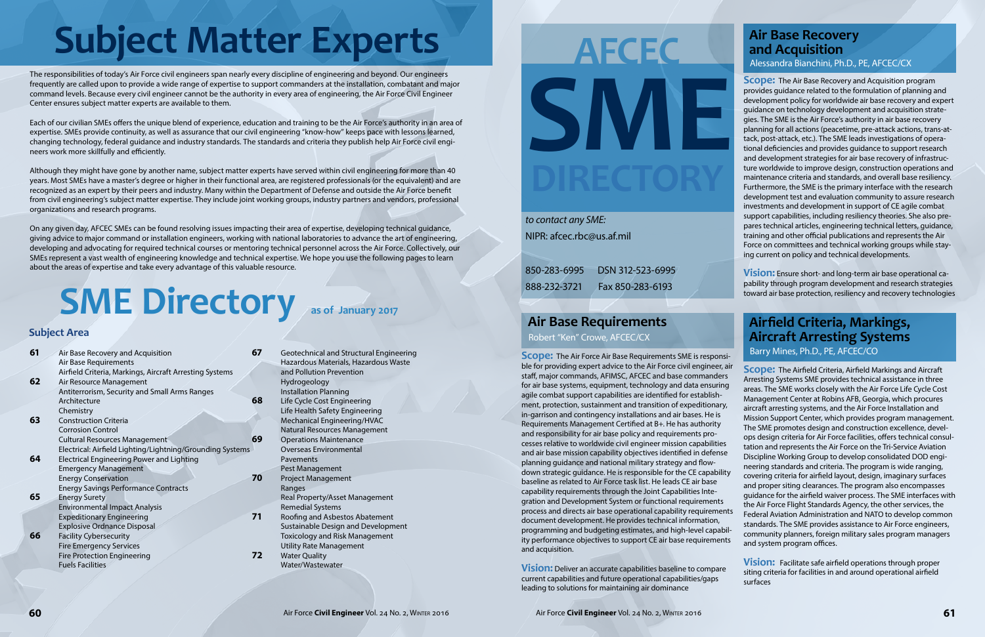## **Subject Area**

# **Subject Matter Experts AFCEC** And Acquisition

The responsibilities of today's Air Force civil engineers span nearly every discipline of engineering and beyond. Our engineers frequently are called upon to provide a wide range of expertise to support commanders at the installation, combatant and major command levels. Because every civil engineer cannot be the authority in every area of engineering, the Air Force Civil Engineer Center ensures subject matter experts are available to them.

Each of our civilian SMEs offers the unique blend of experience, education and training to be the Air Force's authority in an area of expertise. SMEs provide continuity, as well as assurance that our civil engineering "know-how" keeps pace with lessons learned, changing technology, federal guidance and industry standards. The standards and criteria they publish help Air Force civil engineers work more skillfully and efficiently.

Although they might have gone by another name, subject matter experts have served within civil engineering for more than 40 years. Most SMEs have a master's degree or higher in their functional area, are registered professionals (or the equivalent) and are recognized as an expert by their peers and industry. Many within the Department of Defense and outside the Air Force benefit from civil engineering's subject matter expertise. They include joint working groups, industry partners and vendors, professional organizations and research programs.

On any given day, AFCEC SMEs can be found resolving issues impacting their area of expertise, developing technical guidance, giving advice to major command or installation engineers, working with national laboratories to advance the art of engineering, developing and advocating for required technical courses or mentoring technical personnel across the Air Force. Collectively, our SMEs represent a vast wealth of engineering knowledge and technical expertise. We hope you use the following pages to learn about the areas of expertise and take every advantage of this valuable resource.

# **SME Directory** as of January 2017

**Scope:** The Air Base Recovery and Acquisition program provides guidance related to the formulation of planning and development policy for worldwide air base recovery and expert guidance on technology development and acquisition strategies. The SME is the Air Force's authority in air base recovery planning for all actions (peacetime, pre-attack actions, trans-attack, post-attack, etc.). The SME leads investigations of operational deficiencies and provides guidance to support research and development strategies for air base recovery of infrastructure worldwide to improve design, construction operations and maintenance criteria and standards, and overall base resiliency. Furthermore, the SME is the primary interface with the research development test and evaluation community to assure research investments and development in support of CE agile combat support capabilities, including resiliency theories. She also prepares technical articles, engineering technical letters, guidance, training and other official publications and represents the Air Force on committees and technical working groups while staying current on policy and technical developments.

| 61 | Air Base Recovery and Acquisition                         | 67 | Gε             |
|----|-----------------------------------------------------------|----|----------------|
|    | Air Base Requirements                                     |    | Ha             |
|    | Airfield Criteria, Markings, Aircraft Arresting Systems   |    | an             |
| 62 | Air Resource Management                                   |    | Hy             |
|    | Antiterrorism, Security and Small Arms Ranges             |    | ln:            |
|    | Architecture                                              | 68 | Lif            |
|    | Chemistry                                                 |    | Lif            |
| 63 | <b>Construction Criteria</b>                              |    | M <sub>6</sub> |
|    | <b>Corrosion Control</b>                                  |    | Na             |
|    | <b>Cultural Resources Management</b>                      | 69 | Or             |
|    | Electrical: Airfield Lighting/Lightning/Grounding Systems |    | О١             |
| 64 | <b>Electrical Engineering Power and Lighting</b>          |    | Pa             |
|    | <b>Emergency Management</b>                               |    | Pe             |
|    | <b>Energy Conservation</b>                                | 70 | Pr             |
|    | <b>Energy Savings Performance Contracts</b>               |    | Ra             |
| 65 | <b>Energy Surety</b>                                      |    | Re             |
|    | <b>Environmental Impact Analysis</b>                      |    | Re             |
|    | <b>Expeditionary Engineering</b>                          | 71 | Rc             |
|    | <b>Explosive Ordnance Disposal</b>                        |    | Su             |
| 66 | <b>Facility Cybersecurity</b>                             |    | To             |
|    | <b>Fire Emergency Services</b>                            |    | Ut             |
|    | <b>Fire Protection Engineering</b>                        | 72 | W              |
|    | <b>Fuels Facilities</b>                                   |    | W              |
|    |                                                           |    |                |
|    |                                                           |    |                |

| 67 | Geotechnical and Structural Engineering |  |
|----|-----------------------------------------|--|
|    | Hazardous Materials, Hazardous Waste    |  |
|    | and Pollution Prevention                |  |
|    | Hydrogeology                            |  |
|    | <b>Installation Planning</b>            |  |
| 68 | Life Cycle Cost Engineering             |  |
|    | Life Health Safety Engineering          |  |
|    | Mechanical Engineering/HVAC             |  |
|    | Natural Resources Management            |  |
| 69 | <b>Operations Maintenance</b>           |  |
|    | Overseas Environmental                  |  |
|    | Pavements                               |  |
|    | Pest Management                         |  |
| 70 | <b>Project Management</b>               |  |
|    | Ranges                                  |  |
|    | Real Property/Asset Management          |  |
|    | <b>Remedial Systems</b>                 |  |
| 71 | Roofing and Asbestos Abatement          |  |
|    | Sustainable Design and Development      |  |
|    | <b>Toxicology and Risk Management</b>   |  |
|    | <b>Utility Rate Management</b>          |  |
| 72 | <b>Water Quality</b>                    |  |
|    | Water/Wastewater                        |  |

# **AFCEC SME**

**Vision:** Ensure short- and long-term air base operational capability through program development and research strategies toward air base protection, resiliency and recovery technologies

**Scope:** The Air Force Air Base Requirements SME is responsible for providing expert advice to the Air Force civil engineer, air staff, major commands, AFIMSC, AFCEC and base commanders for air base systems, equipment, technology and data ensuring agile combat support capabilities are identified for establishment, protection, sustainment and transition of expeditionary, in-garrison and contingency installations and air bases. He is Requirements Management Certified at B+. He has authority and responsibility for air base policy and requirements processes relative to worldwide civil engineer mission capabilities and air base mission capability objectives identified in defense planning guidance and national military strategy and flowdown strategic guidance. He is responsible for the CE capability baseline as related to Air Force task list. He leads CE air base capability requirements through the Joint Capabilities Integration and Development System or functional requirements process and directs air base operational capability requirements document development. He provides technical information, programming and budgeting estimates, and high-level capability performance objectives to support CE air base requirements and acquisition.

**Vision:** Deliver an accurate capabilities baseline to compare current capabilities and future operational capabilities/gaps leading to solutions for maintaining air dominance

**Scope:** The Airfield Criteria, Airfield Markings and Aircraft Arresting Systems SME provides technical assistance in three areas. The SME works closely with the Air Force Life Cycle Cost Management Center at Robins AFB, Georgia, which procures aircraft arresting systems, and the Air Force Installation and Mission Support Center, which provides program management. The SME promotes design and construction excellence, develops design criteria for Air Force facilities, offers technical consultation and represents the Air Force on the Tri-Service Aviation Discipline Working Group to develop consolidated DOD engineering standards and criteria. The program is wide ranging, covering criteria for airfield layout, design, imaginary surfaces and proper siting clearances. The program also encompasses guidance for the airfield waiver process. The SME interfaces with the Air Force Flight Standards Agency, the other services, the Federal Aviation Administration and NATO to develop common standards. The SME provides assistance to Air Force engineers, community planners, foreign military sales program managers and system program offices.

**Vision:** Facilitate safe airfield operations through proper siting criteria for facilities in and around operational airfield surfaces

*to contact any SME:* NIPR: afcec.rbc@us.af.mil

850-283-6995 DSN 312-523-6995 888-232-3721 Fax 850-283-6193

## **and Acquisition** Alessandra Bianchini, Ph.D., PE, AFCEC/CX

## **Air Base Requirements**

Robert "Ken" Crowe, AFCEC/CX

#### **Airfield Criteria, Markings, Aircraft Arresting Systems** Barry Mines, Ph.D., PE, AFCEC/CO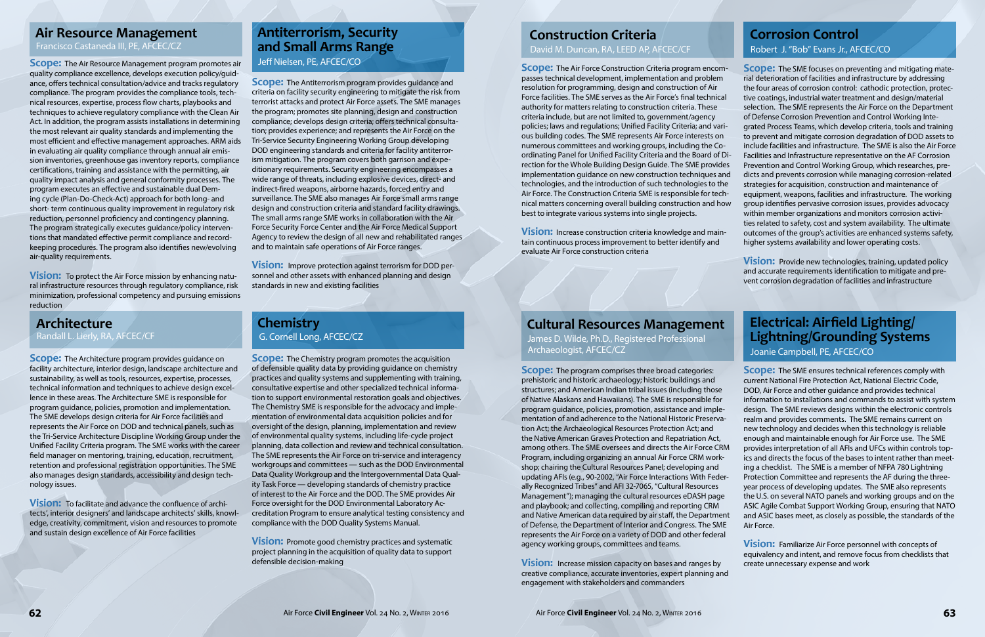**Scope:** The Air Resource Management program promotes air quality compliance excellence, develops execution policy/guidance, offers technical consultation/advice and tracks regulatory compliance. The program provides the compliance tools, technical resources, expertise, process flow charts, playbooks and techniques to achieve regulatory compliance with the Clean Air Act. In addition, the program assists installations in determining the most relevant air quality standards and implementing the most efficient and effective management approaches. ARM aids in evaluating air quality compliance through annual air emission inventories, greenhouse gas inventory reports, compliance certifications, training and assistance with the permitting, air quality impact analysis and general conformity processes. The program executes an effective and sustainable dual Deming cycle (Plan-Do-Check-Act) approach for both long- and short- term continuous quality improvement in regulatory risk reduction, personnel proficiency and contingency planning. The program strategically executes guidance/policy interventions that mandated effective permit compliance and recordkeeping procedures. The program also identifies new/evolving air-quality requirements.

**Scope:** The Antiterrorism program provides guidance and criteria on facility security engineering to mitigate the risk from terrorist attacks and protect Air Force assets. The SME manages the program; promotes site planning, design and construction compliance; develops design criteria; offers technical consultation; provides experience; and represents the Air Force on the Tri-Service Security Engineering Working Group developing DOD engineering standards and criteria for facility antiterrorism mitigation. The program covers both garrison and expeditionary requirements. Security engineering encompasses a wide range of threats, including explosive devices, direct- and indirect-fired weapons, airborne hazards, forced entry and surveillance. The SME also manages Air Force small arms range design and construction criteria and standard facility drawings. The small arms range SME works in collaboration with the Air Force Security Force Center and the Air Force Medical Support Agency to review the design of all new and rehabilitated ranges and to maintain safe operations of Air Force ranges.

**Vision:** To protect the Air Force mission by enhancing natural infrastructure resources through regulatory compliance, risk minimization, professional competency and pursuing emissions reduction

**Scope:** The Architecture program provides guidance on facility architecture, interior design, landscape architecture and sustainability, as well as tools, resources, expertise, processes, technical information and techniques to achieve design excellence in these areas. The Architecture SME is responsible for program guidance, policies, promotion and implementation. The SME develops design criteria for Air Force facilities and represents the Air Force on DOD and technical panels, such as the Tri-Service Architecture Discipline Working Group under the Unified Facility Criteria program. The SME works with the career field manager on mentoring, training, education, recruitment, retention and professional registration opportunities. The SME also manages design standards, accessibility and design technology issues.

**Scope:** The Chemistry program promotes the acquisition of defensible quality data by providing guidance on chemistry practices and quality systems and supplementing with training, consultative expertise and other specialized technical information to support environmental restoration goals and objectives. The Chemistry SME is responsible for the advocacy and implementation of environmental data acquisition policies and for oversight of the design, planning, implementation and review of environmental quality systems, including life-cycle project planning, data collection and review and technical consultation. The SME represents the Air Force on tri-service and interagency workgroups and committees — such as the DOD Environmental Data Quality Workgroup and the Intergovernmental Data Quality Task Force — developing standards of chemistry practice of interest to the Air Force and the DOD. The SME provides Air Force oversight for the DOD Environmental Laboratory Accreditation Program to ensure analytical testing consistency and compliance with the DOD Quality Systems Manual.

**Vision:** Promote good chemistry practices and systematic project planning in the acquisition of quality data to support defensible decision-making

**Vision:** Improve protection against terrorism for DOD personnel and other assets with enhanced planning and design standards in new and existing facilities

**Vision:** To facilitate and advance the confluence of architects', interior designers' and landscape architects' skills, knowledge, creativity, commitment, vision and resources to promote and sustain design excellence of Air Force facilities

**Scope:** The program comprises three broad categories: prehistoric and historic archaeology; historic buildings and structures; and American Indian tribal issues (including those of Native Alaskans and Hawaiians). The SME is responsible for program guidance, policies, promotion, assistance and implementation of and adherence to the National Historic Preservation Act; the Archaeological Resources Protection Act; and the Native American Graves Protection and Repatriation Act, among others. The SME oversees and directs the Air Force CRM Program, including organizing an annual Air Force CRM workshop; chairing the Cultural Resources Panel; developing and updating AFIs (e.g., 90-2002, "Air Force Interactions With Federally Recognized Tribes" and AFI 32-7065, "Cultural Resources Management"); managing the cultural resources eDASH page and playbook; and collecting, compiling and reporting CRM and Native American data required by air staff, the Department of Defense, the Department of Interior and Congress. The SME represents the Air Force on a variety of DOD and other federal agency working groups, committees and teams.

**Vision:** Increase mission capacity on bases and ranges by creative compliance, accurate inventories, expert planning and engagement with stakeholders and commanders

**Scope:** The SME ensures technical references comply with current National Fire Protection Act, National Electric Code, DOD, Air Force and other guidance and provides technical information to installations and commands to assist with system design. The SME reviews designs within the electronic controls realm and provides comments. The SME remains current on new technology and decides when this technology is reliable enough and maintainable enough for Air Force use. The SME provides interpretation of all AFIs and UFCs within controls topics and directs the focus of the bases to intent rather than meeting a checklist. The SME is a member of NFPA 780 Lightning Protection Committee and represents the AF during the threeyear process of developing updates. The SME also represents the U.S. on several NATO panels and working groups and on the ASIC Agile Combat Support Working Group, ensuring that NATO and ASIC bases meet, as closely as possible, the standards of the Air Force.

**Scope:** The SME focuses on preventing and mitigating material deterioration of facilities and infrastructure by addressing the four areas of corrosion control: cathodic protection, protective coatings, industrial water treatment and design/material selection. The SME represents the Air Force on the Department of Defense Corrosion Prevention and Control Working Integrated Process Teams, which develop criteria, tools and training to prevent and mitigate corrosion degradation of DOD assets to include facilities and infrastructure. The SME is also the Air Force Facilities and Infrastructure representative on the AF Corrosion Prevention and Control Working Group, which researches, predicts and prevents corrosion while managing corrosion-related strategies for acquisition, construction and maintenance of equipment, weapons, facilities and infrastructure. The working group identifies pervasive corrosion issues, provides advocacy within member organizations and monitors corrosion activities related to safety, cost and system availability. The ultimate outcomes of the group's activities are enhanced systems safety, higher systems availability and lower operating costs. **Scope:** The Air Force Construction Criteria program encompasses technical development, implementation and problem resolution for programming, design and construction of Air Force facilities. The SME serves as the Air Force's final technical authority for matters relating to construction criteria. These criteria include, but are not limited to, government/agency policies; laws and regulations; Unified Facility Criteria; and various building codes. The SME represents Air Force interests on numerous committees and working groups, including the Coordinating Panel for Unified Facility Criteria and the Board of Direction for the Whole Building Design Guide. The SME provides implementation guidance on new construction techniques and technologies, and the introduction of such technologies to the Air Force. The Construction Criteria SME is responsible for technical matters concerning overall building construction and how best to integrate various systems into single projects. **Vision:** Increase construction criteria knowledge and main-

> **Vision:** Provide new technologies, training, updated policy and accurate requirements identification to mitigate and prevent corrosion degradation of facilities and infrastructure

> **Vision:** Familiarize Air Force personnel with concepts of equivalency and intent, and remove focus from checklists that create unnecessary expense and work

tain continuous process improvement to better identify and evaluate Air Force construction criteria

## **Air Resource Management**

Francisco Castaneda III, PE, AFCEC/CZ

## **Antiterrorism, Security and Small Arms Range** Jeff Nielsen, PE, AFCEC/CO

#### **Architecture** Randall L. Lierly, RA, AFCEC/CF

#### **Chemistry** G. Cornell Long, AFCEC/CZ

## **Corrosion Control** Robert J. "Bob" Evans Jr., AFCEC/CO

## **Cultural Resources Management**

James D. Wilde, Ph.D., Registered Professional Archaeologist, AFCEC/CZ

**Electrical: Airfield Lighting/ Lightning/Grounding Systems** Joanie Campbell, PE, AFCEC/CO

## **Construction Criteria**

David M. Duncan, RA, LEED AP, AFCEC/CF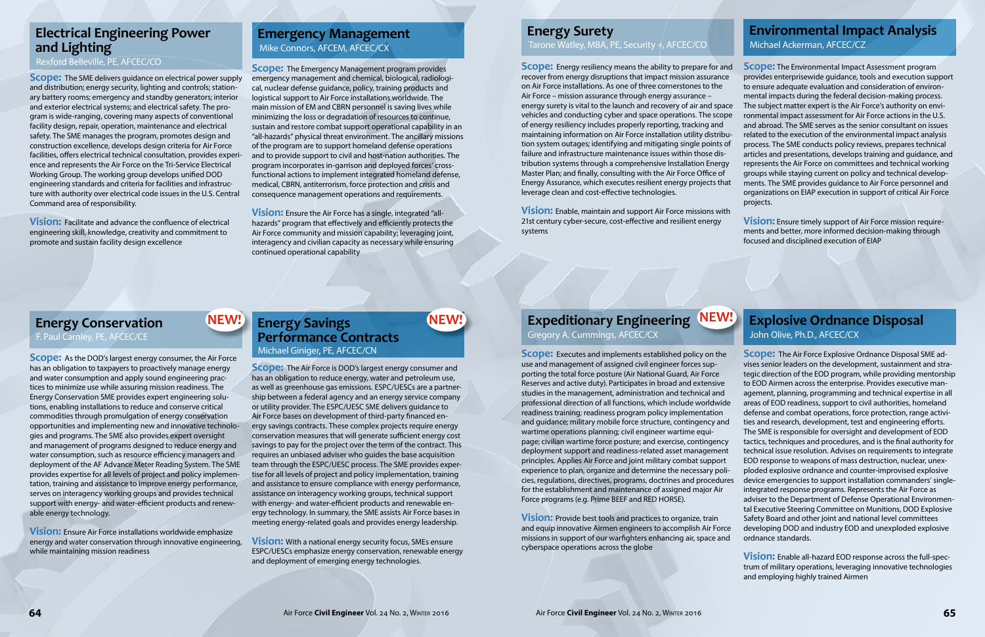**Scope:** The SME delivers guidance on electrical power supply and distribution; energy security, lighting and controls; stationary battery rooms; emergency and standby generators; interior and exterior electrical systems; and electrical safety. The program is wide-ranging, covering many aspects of conventional facility design, repair, operation, maintenance and electrical safety. The SME manages the program, promotes design and construction excellence, develops design criteria for Air Force facilities, offers electrical technical consultation, provides experience and represents the Air Force on the Tri-Service Electrical Working Group. The working group develops unified DOD engineering standards and criteria for facilities and infrastructure with authority over electrical code issues in the U.S. Central Command area of responsibility.

**Scope:** The Emergency Management program provides emergency management and chemical, biological, radiological, nuclear defense guidance, policy, training products and logistical support to Air Force installations worldwide. The main mission of EM and CBRN personnel is saving lives while minimizing the loss or degradation of resources to continue, sustain and restore combat support operational capability in an "all-hazards" physical threat environment. The ancillary missions of the program are to support homeland defense operations and to provide support to civil and host-nation authorities. The program incorporates in-garrison and deployed forces' crossfunctional actions to implement integrated homeland defense, medical, CBRN, antiterrorism, force protection and crisis and consequence management operations and requirements.

**Vision:** Facilitate and advance the confluence of electrical engineering skill, knowledge, creativity and commitment to promote and sustain facility design excellence

**Vision:** Ensure the Air Force has a single, integrated "allhazards" program that effectively and efficiently protects the Air Force community and mission capability; leveraging joint, interagency and civilian capacity as necessary while ensuring continued operational capability

**Scope:** As the DOD's largest energy consumer, the Air Force has an obligation to taxpayers to proactively manage energy and water consumption and apply sound engineering practices to minimize use while assuring mission readiness. The Energy Conservation SME provides expert engineering solutions, enabling installations to reduce and conserve critical commodities through promulgation of energy conservation opportunities and implementing new and innovative technologies and programs. The SME also provides expert oversight and management of programs designed to reduce energy and water consumption, such as resource efficiency managers and deployment of the AF Advance Meter Reading System. The SME provides expertise for all levels of project and policy implementation, training and assistance to improve energy performance, serves on interagency working groups and provides technical support with energy- and water-efficient products and renewable energy technology.

**Vision:** Ensure Air Force installations worldwide emphasize energy and water conservation through innovative engineering, while maintaining mission readiness

**Scope:** The Air Force is DOD's largest energy consumer and has an obligation to reduce energy, water and petroleum use, as well as greenhouse gas emissions. ESPC/UESCs are a partnership between a federal agency and an energy service company or utility provider. The ESPC/UESC SME delivers guidance to Air Force bases on development of third-party financed energy savings contracts. These complex projects require energy conservation measures that will generate sufficient energy cost savings to pay for the project over the term of the contract. This requires an unbiased adviser who guides the base acquisition team through the ESPC/UESC process. The SME provides expertise for all levels of project and policy implementation, training and assistance to ensure compliance with energy performance, assistance on interagency working groups, technical support with energy- and water-efficient products and renewable energy technology. In summary, the SME assists Air Force bases in meeting energy-related goals and provides energy leadership.

**Vision:** With a national energy security focus, SMEs ensure ESPC/UESCs emphasize energy conservation, renewable energy and deployment of emerging energy technologies.

**Expeditionary Engineering NEW!** 

**Scope:** The Environmental Impact Assessment program provides enterprisewide guidance, tools and execution support to ensure adequate evaluation and consideration of environmental impacts during the federal decision-making process. The subject matter expert is the Air Force's authority on environmental impact assessment for Air Force actions in the U.S. and abroad. The SME serves as the senior consultant on issues related to the execution of the environmental impact analysis process. The SME conducts policy reviews, prepares technical articles and presentations, develops training and guidance, and represents the Air Force on committees and technical working groups while staying current on policy and technical developments. The SME provides guidance to Air Force personnel and organizations on EIAP execution in support of critical Air Force projects. **Scope:** Energy resiliency means the ability to prepare for and recover from energy disruptions that impact mission assurance on Air Force installations. As one of three cornerstones to the Air Force – mission assurance through energy assurance – energy surety is vital to the launch and recovery of air and space vehicles and conducting cyber and space operations. The scope of energy resiliency includes properly reporting, tracking and maintaining information on Air Force installation utility distribution system outages; identifying and mitigating single points of failure and infrastructure maintenance issues within those distribution systems through a comprehensive Installation Energy Master Plan; and finally, consulting with the Air Force Office of Energy Assurance, which executes resilient energy projects that leverage clean and cost-effective technologies.

## **NEW!** Energy Savings **NEW! Performance Contracts** Michael Giniger, PE, AFCEC/CN

**Scope:** Executes and implements established policy on the use and management of assigned civil engineer forces supporting the total force posture (Air National Guard, Air Force Reserves and active duty). Participates in broad and extensive studies in the management, administration and technical and professional direction of all functions, which include worldwide readiness training; readiness program policy implementation and guidance; military mobile force structure, contingency and wartime operations planning; civil engineer wartime equipage; civilian wartime force posture; and exercise, contingency deployment support and readiness-related asset management principles. Applies Air Force and joint military combat support experience to plan, organize and determine the necessary policies, regulations, directives, programs, doctrines and procedures for the establishment and maintenance of assigned major Air Force programs (e.g. Prime BEEF and RED HORSE).

**Vision:** Provide best tools and practices to organize, train and equip innovative Airmen engineers to accomplish Air Force missions in support of our warfighters enhancing air, space and cyberspace operations across the globe

**Scope:** The Air Force Explosive Ordnance Disposal SME advises senior leaders on the development, sustainment and strategic direction of the EOD program, while providing mentorship to EOD Airmen across the enterprise. Provides executive management, planning, programming and technical expertise in all areas of EOD readiness, support to civil authorities, homeland defense and combat operations, force protection, range activities and research, development, test and engineering efforts.

The SME is responsible for oversight and development of EOD tactics, techniques and procedures, and is the final authority for technical issue resolution. Advises on requirements to integrate EOD response to weapons of mass destruction, nuclear, unexploded explosive ordnance and counter-improvised explosive device emergencies to support installation commanders' singleintegrated response programs. Represents the Air Force as adviser to the Department of Defense Operational Environmental Executive Steering Committee on Munitions, DOD Explosive Safety Board and other joint and national level committees developing DOD and industry EOD and unexploded explosive ordnance standards.

**Vision:** Enable all-hazard EOD response across the full-spectrum of military operations, leveraging innovative technologies and employing highly trained Airmen

**Vision:** Ensure timely support of Air Force mission requirements and better, more informed decision-making through focused and disciplined execution of EIAP



**Vision:** Enable, maintain and support Air Force missions with 21st century cyber-secure, cost-effective and resilient energy systems

## **Electrical Engineering Power and Lighting**

Rexford Belleville, PE, AFCEC/CO

## **Emergency Management**  Mike Connors, AFCEM, AFCEC/CX

## **Energy Conservation**

F. Paul Carnley, PE, AFCEC/CE

Gregory A. Cummings, AFCEC/CX

## **Explosive Ordnance Disposal** John Olive, Ph.D., AFCEC/CX

## **Environmental Impact Analysis**

Michael Ackerman, AFCEC/CZ

## **Energy Surety**  Tarone Watley, MBA, PE, Security +, AFCEC/CO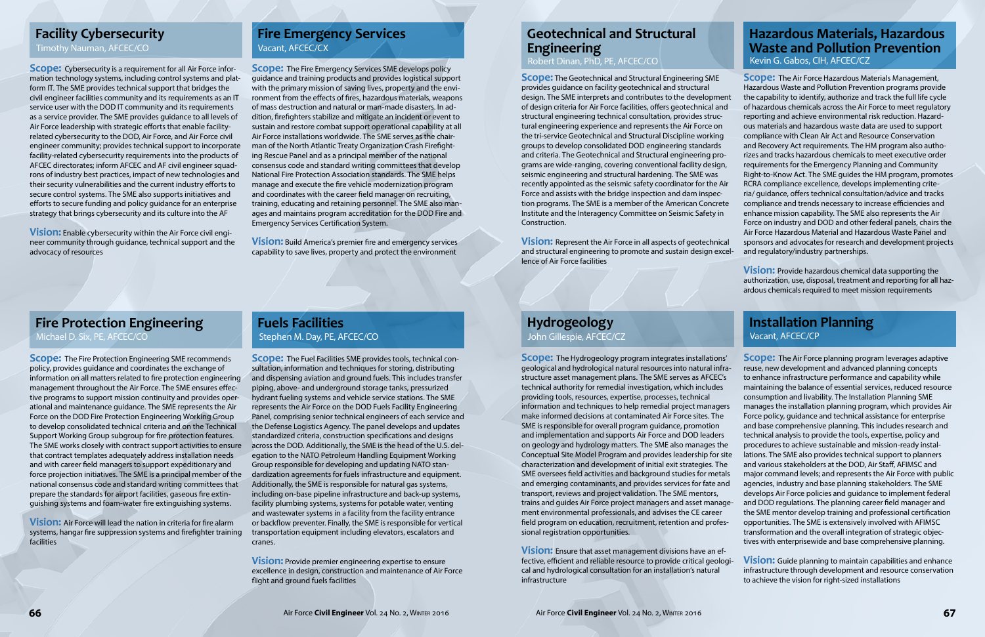**Scope:** Cybersecurity is a requirement for all Air Force information technology systems, including control systems and platform IT. The SME provides technical support that bridges the civil engineer facilities community and its requirements as an IT service user with the DOD IT community and its requirements as a service provider. The SME provides guidance to all levels of Air Force leadership with strategic efforts that enable facilityrelated cybersecurity to the DOD, Air Force, and Air Force civil engineer community; provides technical support to incorporate facility-related cybersecurity requirements into the products of AFCEC directorates; inform AFCEC and AF civil engineer squadrons of industry best practices, impact of new technologies and their security vulnerabilities and the current industry efforts to secure control systems. The SME also supports initiatives and efforts to secure funding and policy guidance for an enterprise strategy that brings cybersecurity and its culture into the AF

**Vision:** Enable cybersecurity within the Air Force civil engineer community through guidance, technical support and the advocacy of resources

**Scope:** The Fire Emergency Services SME develops policy guidance and training products and provides logistical support with the primary mission of saving lives, property and the environment from the effects of fires, hazardous materials, weapons of mass destruction and natural or man-made disasters. In addition, firefighters stabilize and mitigate an incident or event to sustain and restore combat support operational capability at all Air Force installations worldwide. The SME serves as the chairman of the North Atlantic Treaty Organization Crash Firefighting Rescue Panel and as a principal member of the national consensus code and standard writing committees that develop National Fire Protection Association standards. The SME helps manage and execute the fire vehicle modernization program and coordinates with the career field manager on recruiting, training, educating and retaining personnel. The SME also manages and maintains program accreditation for the DOD Fire and Emergency Services Certification System.

**Vision:** Build America's premier fire and emergency services capability to save lives, property and protect the environment

**Scope:** The Fire Protection Engineering SME recommends policy, provides guidance and coordinates the exchange of information on all matters related to fire protection engineering management throughout the Air Force. The SME ensures effective programs to support mission continuity and provides operational and maintenance guidance. The SME represents the Air Force on the DOD Fire Protection Engineering Working Group to develop consolidated technical criteria and on the Technical Support Working Group subgroup for fire protection features. The SME works closely with contract support activities to ensure that contract templates adequately address installation needs and with career field managers to support expeditionary and force projection initiatives. The SME is a principal member of the national consensus code and standard writing committees that prepare the standards for airport facilities, gaseous fire extinguishing systems and foam-water fire extinguishing systems.

**Scope:** The Air Force Hazardous Materials Management, Hazardous Waste and Pollution Prevention programs provide the capability to identify, authorize and track the full life cycle of hazardous chemicals across the Air Force to meet regulatory reporting and achieve environmental risk reduction. Hazardous materials and hazardous waste data are used to support compliance with Clean Air Act and Resource Conservation and Recovery Act requirements. The HM program also authorizes and tracks hazardous chemicals to meet executive order requirements for the Emergency Planning and Community Right-to-Know Act. The SME guides the HM program, promotes RCRA compliance excellence, develops implementing criteria/ guidance, offers technical consultation/advice and tracks compliance and trends necessary to increase efficiencies and enhance mission capability. The SME also represents the Air Force on industry and DOD and other federal panels, chairs the Air Force Hazardous Material and Hazardous Waste Panel and sponsors and advocates for research and development projects and regulatory/industry partnerships.

**Vision:** Air Force will lead the nation in criteria for fire alarm systems, hangar fire suppression systems and firefighter training facilities

**Scope:** The Fuel Facilities SME provides tools, technical consultation, information and techniques for storing, distributing and dispensing aviation and ground fuels. This includes transfer piping, above- and underground storage tanks, pressurized hydrant fueling systems and vehicle service stations. The SME represents the Air Force on the DOD Fuels Facility Engineering Panel, comprising senior technical engineers of each service and the Defense Logistics Agency. The panel develops and updates standardized criteria, construction specifications and designs across the DOD. Additionally, the SME is the head of the U.S. delegation to the NATO Petroleum Handling Equipment Working Group responsible for developing and updating NATO standardization agreements for fuels infrastructure and equipment. Additionally, the SME is responsible for natural gas systems, including on-base pipeline infrastructure and back-up systems, facility plumbing systems, systems for potable water, venting and wastewater systems in a facility from the facility entrance or backflow preventer. Finally, the SME is responsible for vertical transportation equipment including elevators, escalators and cranes.

**Vision:** Provide premier engineering expertise to ensure excellence in design, construction and maintenance of Air Force flight and ground fuels facilities

**Vision:** Provide hazardous chemical data supporting the authorization, use, disposal, treatment and reporting for all hazardous chemicals required to meet mission requirements

**Scope:** The Hydrogeology program integrates installations' geological and hydrological natural resources into natural infrastructure asset management plans. The SME serves as AFCEC's technical authority for remedial investigation, which includes providing tools, resources, expertise, processes, technical information and techniques to help remedial project managers make informed decisions at contaminated Air Force sites. The SME is responsible for overall program guidance, promotion and implementation and supports Air Force and DOD leaders on geology and hydrology matters. The SME also manages the Conceptual Site Model Program and provides leadership for site characterization and development of initial exit strategies. The SME oversees field activities and background studies for metals and emerging contaminants, and provides services for fate and transport, reviews and project validation. The SME mentors, trains and guides Air Force project managers and asset management environmental professionals, and advises the CE career field program on education, recruitment, retention and professional registration opportunities. **Scope:** The Air Force planning program leverages adaptive reuse, new development and advanced planning concepts to enhance infrastructure performance and capability while maintaining the balance of essential services, reduced resource consumption and livability. The Installation Planning SME manages the installation planning program, which provides Air Force policy, guidance and technical assistance for enterprise and base comprehensive planning. This includes research and technical analysis to provide the tools, expertise, policy and procedures to achieve sustainable and mission-ready installations. The SME also provides technical support to planners and various stakeholders at the DOD, Air Staff, AFIMSC and major command levels; and represents the Air Force with public agencies, industry and base planning stakeholders. The SME develops Air Force policies and guidance to implement federal and DOD regulations. The planning career field manager and the SME mentor develop training and professional certification opportunities. The SME is extensively involved with AFIMSC transformation and the overall integration of strategic objectives with enterprisewide and base comprehensive planning.

**Vision:** Ensure that asset management divisions have an effective, efficient and reliable resource to provide critical geological and hydrological consultation for an installation's natural infrastructure **Vision:** Guide planning to maintain capabilities and enhance infrastructure through development and resource conservation to achieve the vision for right-sized installations

**Scope:** The Geotechnical and Structural Engineering SME provides guidance on facility geotechnical and structural design. The SME interprets and contributes to the development of design criteria for Air Force facilities, offers geotechnical and structural engineering technical consultation, provides structural engineering experience and represents the Air Force on the tri-service Geotechnical and Structural Discipline working groups to develop consolidated DOD engineering standards and criteria. The Geotechnical and Structural engineering programs are wide-ranging, covering conventional facility design, seismic engineering and structural hardening. The SME was recently appointed as the seismic safety coordinator for the Air Force and assists with the bridge inspection and dam inspection programs. The SME is a member of the American Concrete Institute and the Interagency Committee on Seismic Safety in Construction.

**Vision:** Represent the Air Force in all aspects of geotechnical and structural engineering to promote and sustain design excellence of Air Force facilities

## **Geotechnical and Structural Engineering**

Robert Dinan, PhD, PE, AFCEC/CO

## **Facility Cybersecurity**

Timothy Nauman, AFCEC/CO

## **Fire Emergency Services** Vacant, AFCEC/CX

## **Fire Protection Engineering**

Michael D. Six, PE, AFCEC/CO

#### **Fuels Facilities** Stephen M. Day, PE, AFCEC/CO

#### **Hazardous Materials, Hazardous Waste and Pollution Prevention** Kevin G. Gabos, CIH, AFCEC/CZ

John Gillespie, AFCEC/CZ

## **Installation Planning**

Vacant, AFCEC/CP

## **Hydrogeology**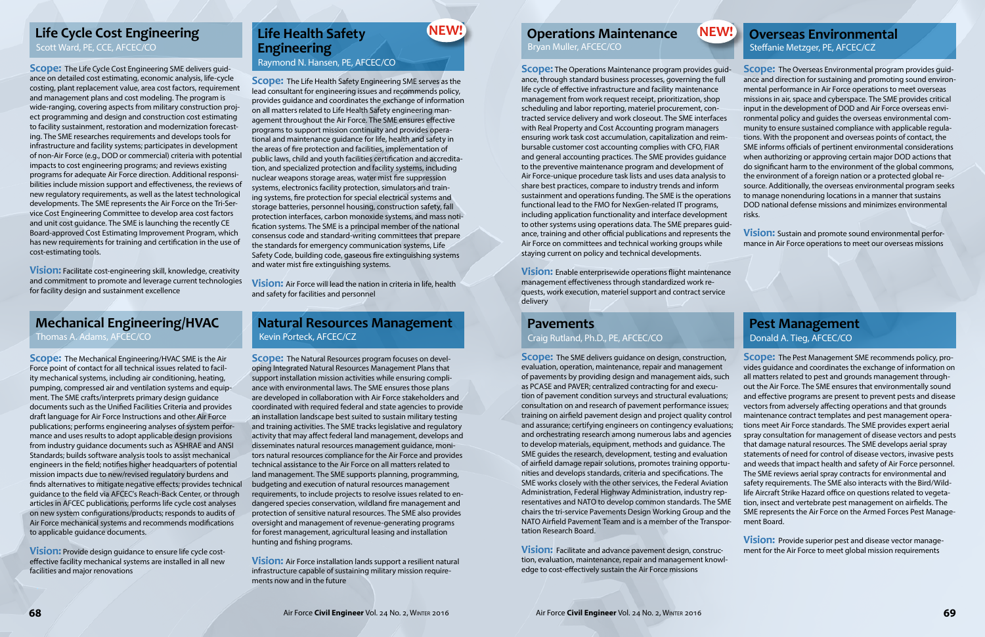**Scope:** The Life Cycle Cost Engineering SME delivers guidance on detailed cost estimating, economic analysis, life-cycle costing, plant replacement value, area cost factors, requirement and management plans and cost modeling. The program is wide-ranging, covering aspects from military construction project programming and design and construction cost estimating to facility sustainment, restoration and modernization forecasting. The SME researches requirements and develops tools for infrastructure and facility systems; participates in development of non-Air Force (e.g., DOD or commercial) criteria with potential impacts to cost engineering programs; and reviews existing programs for adequate Air Force direction. Additional responsibilities include mission support and effectiveness, the reviews of new regulatory requirements, as well as the latest technological developments. The SME represents the Air Force on the Tri-Service Cost Engineering Committee to develop area cost factors and unit cost guidance. The SME is launching the recently CE Board-approved Cost Estimating Improvement Program, which has new requirements for training and certification in the use of cost-estimating tools.

**Vision:** Facilitate cost-engineering skill, knowledge, creativity and commitment to promote and leverage current technologies for facility design and sustainment excellence

**Scope:** The Life Health Safety Engineering SME serves as the lead consultant for engineering issues and recommends policy, provides guidance and coordinates the exchange of information on all matters related to Life Health Safety engineering management throughout the Air Force. The SME ensures effective programs to support mission continuity and provides operational and maintenance guidance for life, health and safety in the areas of fire protection and facilities, implementation of public laws, child and youth facilities certification and accreditation, and specialized protection and facility systems, including nuclear weapons storage areas, water mist fire suppression systems, electronics facility protection, simulators and training systems, fire protection for special electrical systems and storage batteries, personnel housing, construction safety, fall protection interfaces, carbon monoxide systems, and mass notification systems. The SME is a principal member of the national consensus code and standard-writing committees that prepare the standards for emergency communication systems, Life Safety Code, building code, gaseous fire extinguishing systems and water mist fire extinguishing systems.

**Vision:** Air Force will lead the nation in criteria in life, health and safety for facilities and personnel

**Scope:** The Mechanical Engineering/HVAC SME is the Air Force point of contact for all technical issues related to facility mechanical systems, including air conditioning, heating, pumping, compressed air and ventilation systems and equipment. The SME crafts/interprets primary design guidance documents such as the Unified Facilities Criteria and provides draft language for Air Force Instructions and other Air Force publications; performs engineering analyses of system performance and uses results to adopt applicable design provisions from industry guidance documents such as ASHRAE and ANSI Standards; builds software analysis tools to assist mechanical engineers in the field; notifies higher headquarters of potential mission impacts due to new/revised regulatory burdens and finds alternatives to mitigate negative effects; provides technical guidance to the field via AFCEC's Reach-Back Center, or through articles in AFCEC publications; performs life cycle cost analyses on new system configurations/products; responds to audits of Air Force mechanical systems and recommends modifications to applicable guidance documents.

**Vision:** Provide design guidance to ensure life cycle costeffective facility mechanical systems are installed in all new facilities and major renovations

**Scope:** The Natural Resources program focuses on developing Integrated Natural Resources Management Plans that support installation mission activities while ensuring compliance with environmental laws. The SME ensures those plans are developed in collaboration with Air Force stakeholders and coordinated with required federal and state agencies to provide an installation landscape best suited to sustain military testing and training activities. The SME tracks legislative and regulatory activity that may affect federal land management, develops and disseminates natural resources management guidance, monitors natural resources compliance for the Air Force and provides technical assistance to the Air Force on all matters related to land management. The SME supports planning, programming, budgeting and execution of natural resources management requirements, to include projects to resolve issues related to endangered species conservation, wildland fire management and protection of sensitive natural resources. The SME also provides oversight and management of revenue-generating programs for forest management, agricultural leasing and installation hunting and fishing programs.

**Scope:** The Overseas Environmental program provides guidance and direction for sustaining and promoting sound environmental performance in Air Force operations to meet overseas missions in air, space and cyberspace. The SME provides critical input in the development of DOD and Air Force overseas environmental policy and guides the overseas environmental community to ensure sustained compliance with applicable regulations. With the proponent and overseas points of contact, the SME informs officials of pertinent environmental considerations when authorizing or approving certain major DOD actions that do significant harm to the environment of the global commons, the environment of a foreign nation or a protected global resource. Additionally, the overseas environmental program seeks to manage nonenduring locations in a manner that sustains DOD national defense missions and minimizes environmental risks. **Vision:** Sustain and promote sound environmental performance in Air Force operations to meet our overseas missions **Scope:** The Operations Maintenance program provides guidance, through standard business processes, governing the full life cycle of effective infrastructure and facility maintenance management from work request receipt, prioritization, shop scheduling and labor reporting, materiel procurement, contracted service delivery and work closeout. The SME interfaces with Real Property and Cost Accounting program managers ensuring work task cost accumulation, capitalization and reimbursable customer cost accounting complies with CFO, FIAR and general accounting practices. The SME provides guidance to the preventive maintenance program and development of Air Force-unique procedure task lists and uses data analysis to share best practices, compare to industry trends and inform sustainment and operations funding. The SME is the operations functional lead to the FMO for NexGen-related IT programs, including application functionality and interface development to other systems using operations data. The SME prepares guidance, training and other official publications and represents the Air Force on committees and technical working groups while staying current on policy and technical developments.

#### **Operations Maintenance Life Cycle Cost Engineering Life Health Safety NEW! And Operations Maintenance NEW!**

**Vision:** Air Force installation lands support a resilient natural infrastructure capable of sustaining military mission requirements now and in the future



**Scope:** The SME delivers guidance on design, construction, evaluation, operation, maintenance, repair and management of pavements by providing design and management aids, such as PCASE and PAVER; centralized contracting for and execution of pavement condition surveys and structural evaluations; consultation on and research of pavement performance issues; training on airfield pavement design and project quality control and assurance; certifying engineers on contingency evaluations; and orchestrating research among numerous labs and agencies to develop materials, equipment, methods and guidance. The SME guides the research, development, testing and evaluation of airfield damage repair solutions, promotes training opportunities and develops standards, criteria and specifications. The SME works closely with the other services, the Federal Aviation Administration, Federal Highway Administration, industry representatives and NATO to develop common standards. The SME chairs the tri-service Pavements Design Working Group and the NATO Airfield Pavement Team and is a member of the Transportation Research Board. **Scope:** The Pest Management SME recommends policy, provides guidance and coordinates the exchange of information on all matters related to pest and grounds management throughout the Air Force. The SME ensures that environmentally sound and effective programs are present to prevent pests and disease vectors from adversely affecting operations and that grounds maintenance contract templates and pest management operations meet Air Force standards. The SME provides expert aerial spray consultation for management of disease vectors and pests that damage natural resources. The SME develops aerial spray statements of need for control of disease vectors, invasive pests and weeds that impact health and safety of Air Force personnel. The SME reviews aerial spray contracts for environmental and safety requirements. The SME also interacts with the Bird/Wildlife Aircraft Strike Hazard office on questions related to vegetation, insect and vertebrate pest management on airfields. The SME represents the Air Force on the Armed Forces Pest Management Board.

**Vision:** Facilitate and advance pavement design, construction, evaluation, maintenance, repair and management knowledge to cost-effectively sustain the Air Force missions



**Vision:** Provide superior pest and disease vector management for the Air Force to meet global mission requirements

**Vision:** Enable enterprisewide operations flight maintenance management effectiveness through standardized work requests, work execution, materiel support and contract service delivery

Bryan Muller, AFCEC/CO

Scott Ward, PE, CCE, AFCEC/CO

## **Life Health Safety Engineering**

Raymond N. Hansen, PE, AFCEC/CO

## **Mechanical Engineering/HVAC**

Thomas A. Adams, AFCEC/CO

#### **Natural Resources Management** Kevin Porteck, AFCEC/CZ

#### **Overseas Environmental** Steffanie Metzger, PE, AFCEC/CZ

#### Craig Rutland, Ph.D., PE, AFCEC/CO

#### **Pest Management** Donald A. Tieg, AFCEC/CO

## **Pavements**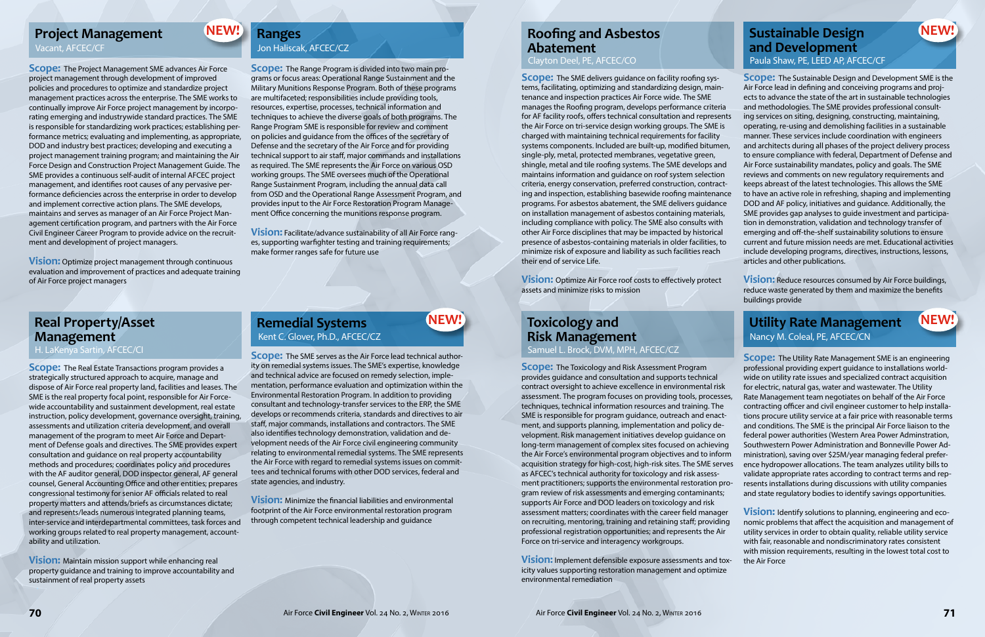**Scope:** The Project Management SME advances Air Force project management through development of improved policies and procedures to optimize and standardize project management practices across the enterprise. The SME works to continually improve Air Force project management by incorporating emerging and industrywide standard practices. The SME is responsible for standardizing work practices; establishing performance metrics; evaluating and implementing, as appropriate, DOD and industry best practices; developing and executing a project management training program; and maintaining the Air Force Design and Construction Project Management Guide. The SME provides a continuous self-audit of internal AFCEC project management, and identifies root causes of any pervasive performance deficiencies across the enterprise in order to develop and implement corrective action plans. The SME develops, maintains and serves as manager of an Air Force Project Management certification program, and partners with the Air Force Civil Engineer Career Program to provide advice on the recruitment and development of project managers.

**Vision:** Optimize project management through continuous evaluation and improvement of practices and adequate training of Air Force project managers

**Scope:** The Range Program is divided into two main programs or focus areas: Operational Range Sustainment and the Military Munitions Response Program. Both of these programs are multifaceted; responsibilities include providing tools, resources, expertise, processes, technical information and techniques to achieve the diverse goals of both programs. The Range Program SME is responsible for review and comment on policies and guidance from the offices of the secretary of Defense and the secretary of the Air Force and for providing technical support to air staff, major commands and installations as required. The SME represents the Air Force on various OSD working groups. The SME oversees much of the Operational Range Sustainment Program, including the annual data call from OSD and the Operational Range Assessment Program, and provides input to the Air Force Restoration Program Management Office concerning the munitions response program.

**Vision:** Facilitate/advance sustainability of all Air Force ranges, supporting warfighter testing and training requirements; make former ranges safe for future use

**Scope:** The Real Estate Transactions program provides a strategically structured approach to acquire, manage and dispose of Air Force real property land, facilities and leases. The SME is the real property focal point, responsible for Air Forcewide accountability and sustainment development, real estate instruction, policy development, governance oversight, training, assessments and utilization criteria development, and overall management of the program to meet Air Force and Department of Defense goals and directives. The SME provides expert consultation and guidance on real property accountability methods and procedures; coordinates policy and procedures with the AF auditor general, DOD inspector general, AF general counsel, General Accounting Office and other entities; prepares congressional testimony for senior AF officials related to real property matters and attends/briefs as circumstances dictate; and represents/leads numerous integrated planning teams, inter-service and interdepartmental committees, task forces and working groups related to real property management, accountability and utilization.

**Vision:** Maintain mission support while enhancing real property guidance and training to improve accountability and sustainment of real property assets

**Scope:** The SME serves as the Air Force lead technical authority on remedial systems issues. The SME's expertise, knowledge and technical advice are focused on remedy selection, implementation, performance evaluation and optimization within the Environmental Restoration Program. In addition to providing consultant and technology-transfer services to the ERP, the SME develops or recommends criteria, standards and directives to air staff, major commands, installations and contractors. The SME also identifies technology demonstration, validation and development needs of the Air Force civil engineering community relating to environmental remedial systems. The SME represents the Air Force with regard to remedial systems issues on committees and technical forums with other DOD services, federal and state agencies, and industry.

#### **Project Management REW! Ranges** *Roofing and Asbestos* **<b>CONEXUS** *Roofing and Asbestos REW!* **Sustainable Design and Development** Paula Shaw, PE, LEED AP, AFCEC/CF

**Vision:** Minimize the financial liabilities and environmental footprint of the Air Force environmental restoration program through competent technical leadership and guidance

**NEW!** 

**NEW!** 

**Scope:** The Sustainable Design and Development SME is the Air Force lead in defining and conceiving programs and projects to advance the state of the art in sustainable technologies and methodologies. The SME provides professional consulting services on siting, designing, constructing, maintaining, operating, re-using and demolishing facilities in a sustainable manner. These services include coordination with engineers and architects during all phases of the project delivery process to ensure compliance with federal, Department of Defense and Air Force sustainability mandates, policy and goals. The SME reviews and comments on new regulatory requirements and keeps abreast of the latest technologies. This allows the SME to have an active role in refreshing, shaping and implementing DOD and AF policy, initiatives and guidance. Additionally, the SME provides gap analyses to guide investment and participation in demonstration, validation and technology transfer of emerging and off-the-shelf sustainability solutions to ensure current and future mission needs are met. Educational activities include developing programs, directives, instructions, lessons, articles and other publications.

**Vision:** Reduce resources consumed by Air Force buildings, reduce waste generated by them and maximize the benefits buildings provide

**Scope:** The Toxicology and Risk Assessment Program provides guidance and consultation and supports technical contract oversight to achieve excellence in environmental risk assessment. The program focuses on providing tools, processes, techniques, technical information resources and training. The SME is responsible for program guidance, outreach and enactment, and supports planning, implementation and policy development. Risk management initiatives develop guidance on long-term management of complex sites focused on achieving the Air Force's environmental program objectives and to inform acquisition strategy for high-cost, high-risk sites. The SME serves as AFCEC's technical authority for toxicology and risk assessment practitioners; supports the environmental restoration program review of risk assessments and emerging contaminants; supports Air Force and DOD leaders on toxicology and risk assessment matters; coordinates with the career field manager on recruiting, mentoring, training and retaining staff; providing professional registration opportunities; and represents the Air Force on tri-service and interagency workgroups.

**Vision:** Implement defensible exposure assessments and toxicity values supporting restoration management and optimize environmental remediation

**Scope:** The Utility Rate Management SME is an engineering professional providing expert guidance to installations worldwide on utility rate issues and specialized contract acquisition for electric, natural gas, water and wastewater. The Utility Rate Management team negotiates on behalf of the Air Force contracting officer and civil engineer customer to help installations procure utility service at a fair price with reasonable terms and conditions. The SME is the principal Air Force liaison to the federal power authorities (Western Area Power Adminstration, Southwestern Power Administration and Bonneville Power Administration), saving over \$25M/year managing federal preference hydropower allocations. The team analyzes utility bills to validate appropriate rates according to contract terms and represents installations during discussions with utility companies and state regulatory bodies to identify savings opportunities.

**Vision:** Identify solutions to planning, engineering and economic problems that affect the acquisition and management of utility services in order to obtain quality, reliable utility service with fair, reasonable and nondiscriminatory rates consistent with mission requirements, resulting in the lowest total cost to the Air Force

**NEW!** 

#### Vacant, AFCEC/CF

## **Ranges** Jon Haliscak, AFCEC/CZ

## **Real Property/Asset Management**

H. LaKenya Sartin, AFCEC/CI

#### **Remedial Systems** Kent C. Glover, Ph.D., AFCEC/CZ

## Samuel L. Brock, DVM, MPH, AFCEC/CZ **Toxicology and Risk Management**

## **Utility Rate Management** Nancy M. Coleal, PE, AFCEC/CN

**Scope:** The SME delivers guidance on facility roofing systems, facilitating, optimizing and standardizing design, maintenance and inspection practices Air Force wide. The SME manages the Roofing program, develops performance criteria for AF facility roofs, offers technical consultation and represents the Air Force on tri-service design working groups. The SME is charged with maintaining technical requirements for facility systems components. Included are built-up, modified bitumen, single-ply, metal, protected membranes, vegetative green, shingle, metal and tile roofing systems. The SME develops and maintains information and guidance on roof system selection criteria, energy conservation, preferred construction, contracting and inspection, establishing basewide roofing maintenance programs. For asbestos abatement, the SME delivers guidance on installation management of asbestos containing materials, including compliance with policy. The SME also consults with other Air Force disciplines that may be impacted by historical presence of asbestos-containing materials in older facilities, to minimize risk of exposure and liability as such facilities reach their end of service Life.

**Vision:** Optimize Air Force roof costs to effectively protect assets and minimize risks to mission

## **Abatement**

Clayton Deel, PE, AFCEC/CO